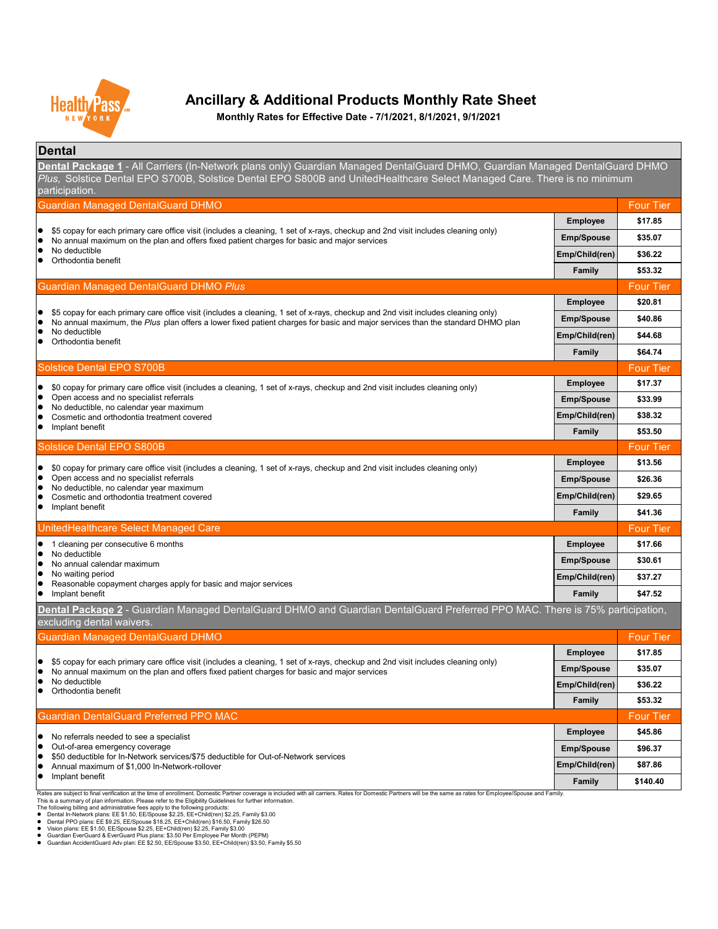#### **Dental**

**Emp/Spouse \$96.37 Emp/Child(ren) \$87.86 Family \$140.40**

Rates are subject to final verification at the time of enrollment. Domestic Partner coverage is included with all carriers. Rates for Domestic Partners will be the same as rates for Employee/Spouse and Family.

- No referrals needed to see a specialist
- $\bullet$  Out-of-area emergency coverage
- \$50 deductible for In-Network services/\$75 deductible for Out-of-Network services
- Annual maximum of \$1,000 In-Network-rollover
- **•** Implant benefit

This is a summary of plan information. Please refer to the Eligibility Guidelines for further information.

The following billing and administrative fees apply to the following products:

- Dental In-Network plans: EE \$1.50, EE/Spouse \$2.25, EE+Child(ren) \$2.25, Family \$3.00
- Dental PPO plans: EE \$9.25, EE/Spouse \$18.25, EE+Child(ren) \$16.50, Family \$26.50
- Vision plans: EE \$1.50, EE/Spouse \$2.25, EE+Child(ren) \$2.25, Family \$3.00
- Guardian EverGuard & EverGuard Plus plans: \$3.50 Per Employee Per Month (PEPM)
- Guardian AccidentGuard Adv plan: EE \$2.50, EE/Spouse \$3.50, EE+Child(ren) \$3.50, Family \$5.50

| <b>Guardian Managed DentalGuard DHMO</b>                                                                                                                                                                                                                                         |                   | <b>Four Tier</b> |
|----------------------------------------------------------------------------------------------------------------------------------------------------------------------------------------------------------------------------------------------------------------------------------|-------------------|------------------|
|                                                                                                                                                                                                                                                                                  | <b>Employee</b>   | \$17.85          |
| \$5 copay for each primary care office visit (includes a cleaning, 1 set of x-rays, checkup and 2nd visit includes cleaning only)<br>No annual maximum on the plan and offers fixed patient charges for basic and major services                                                 | <b>Emp/Spouse</b> | \$35.07          |
| No deductible<br>Orthodontia benefit                                                                                                                                                                                                                                             | Emp/Child(ren)    | \$36.22          |
|                                                                                                                                                                                                                                                                                  | <b>Family</b>     | \$53.32          |
| <b>Guardian Managed DentalGuard DHMO Plus</b>                                                                                                                                                                                                                                    |                   | <b>Four Tier</b> |
|                                                                                                                                                                                                                                                                                  | <b>Employee</b>   | \$20.81          |
| \$5 copay for each primary care office visit (includes a cleaning, 1 set of x-rays, checkup and 2nd visit includes cleaning only)<br>$\bullet$<br>No annual maximum, the Plus plan offers a lower fixed patient charges for basic and major services than the standard DHMO plan | <b>Emp/Spouse</b> | \$40.86          |
| No deductible<br>Orthodontia benefit                                                                                                                                                                                                                                             | Emp/Child(ren)    | \$44.68          |
|                                                                                                                                                                                                                                                                                  | Family            | \$64.74          |
| Solstice Dental EPO S700B                                                                                                                                                                                                                                                        |                   | <b>Four Tier</b> |
| \$0 copay for primary care office visit (includes a cleaning, 1 set of x-rays, checkup and 2nd visit includes cleaning only)                                                                                                                                                     | <b>Employee</b>   | \$17.37          |
| Open access and no specialist referrals<br>No deductible, no calendar year maximum                                                                                                                                                                                               | <b>Emp/Spouse</b> | \$33.99          |
| Cosmetic and orthodontia treatment covered                                                                                                                                                                                                                                       | Emp/Child(ren)    | \$38.32          |
| Implant benefit                                                                                                                                                                                                                                                                  | Family            | \$53.50          |
| <b>Solstice Dental EPO S800B</b>                                                                                                                                                                                                                                                 |                   | <b>Four Tier</b> |
| \$0 copay for primary care office visit (includes a cleaning, 1 set of x-rays, checkup and 2nd visit includes cleaning only)<br>$\bullet$                                                                                                                                        | <b>Employee</b>   | \$13.56          |
| Open access and no specialist referrals<br>No deductible, no calendar year maximum                                                                                                                                                                                               | <b>Emp/Spouse</b> | \$26.36          |
| Cosmetic and orthodontia treatment covered                                                                                                                                                                                                                                       | Emp/Child(ren)    | \$29.65          |
| Implant benefit                                                                                                                                                                                                                                                                  | <b>Family</b>     | \$41.36          |
| UnitedHealthcare Select Managed Care                                                                                                                                                                                                                                             |                   | <b>Four Tier</b> |
| cleaning per consecutive 6 months                                                                                                                                                                                                                                                | <b>Employee</b>   | \$17.66          |
| No deductible<br>No annual calendar maximum                                                                                                                                                                                                                                      | <b>Emp/Spouse</b> | \$30.61          |
| No waiting period<br>Reasonable copayment charges apply for basic and major services                                                                                                                                                                                             | Emp/Child(ren)    | \$37.27          |
| Implant benefit                                                                                                                                                                                                                                                                  | Family            | \$47.52          |
| Dental Package 2 - Guardian Managed DentalGuard DHMO and Guardian DentalGuard Preferred PPO MAC. There is 75% participation,<br>excluding dental waivers.                                                                                                                        |                   |                  |
| <b>Guardian Managed DentalGuard DHMO</b>                                                                                                                                                                                                                                         |                   | <b>Four Tier</b> |
|                                                                                                                                                                                                                                                                                  | <b>Employee</b>   | \$17.85          |
| \$5 copay for each primary care office visit (includes a cleaning, 1 set of x-rays, checkup and 2nd visit includes cleaning only)<br>$\bullet$<br>No annual maximum on the plan and offers fixed patient charges for basic and major services                                    | <b>Emp/Spouse</b> | \$35.07          |
| No deductible<br>Orthodontia benefit                                                                                                                                                                                                                                             | Emp/Child(ren)    | \$36.22          |
|                                                                                                                                                                                                                                                                                  | Family            | \$53.32          |
| <b>Guardian DentalGuard Preferred PPO MAC</b>                                                                                                                                                                                                                                    |                   | <b>Four Tier</b> |
| No referrele pooded to see a specialist                                                                                                                                                                                                                                          | <b>Employee</b>   | \$45.86          |



## **Ancillary & Additional Products Monthly Rate Sheet**

**Dental Package 1** - All Carriers (In-Network plans only) Guardian Managed DentalGuard DHMO, Guardian Managed DentalGuard DHMO *Plus,* Solstice Dental EPO S700B, Solstice Dental EPO S800B and UnitedHealthcare Select Managed Care. There is no minimum participation.

**Monthly Rates for Effective Date - 7/1/2021, 8/1/2021, 9/1/2021**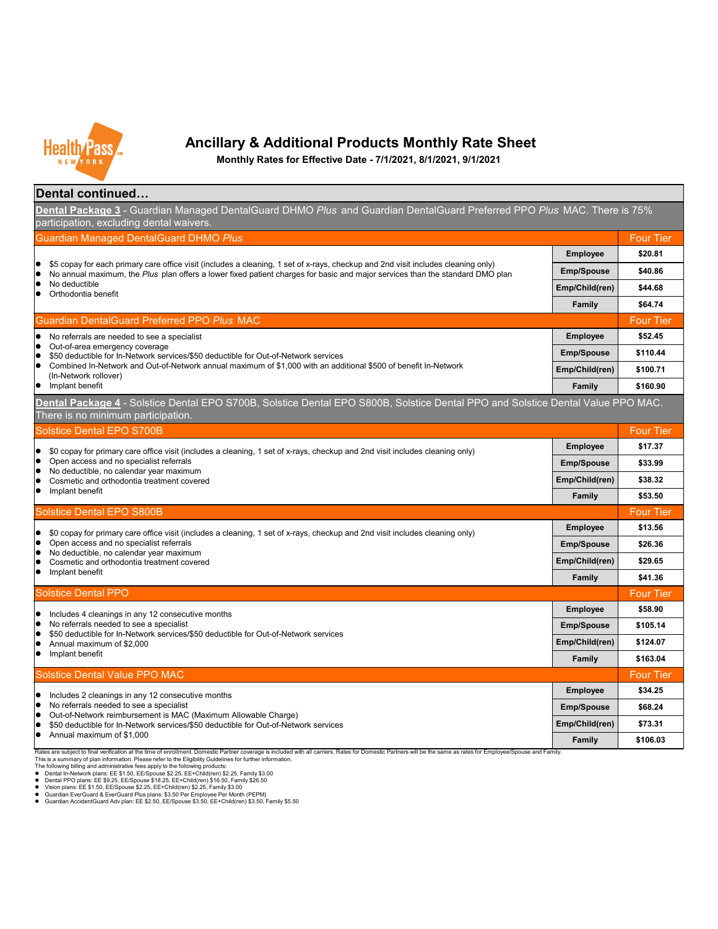**Family \$106.03**



## **Ancillary & Additional Products Monthly Rate Sheet**

**Monthly Rates for Effective Date - 7/1/2021, 8/1/2021, 9/1/2021**

Rates are subject to final verification at the time of enrollment. Domestic Partner coverage is included with all carriers. Rates for Domestic Partners will be the same as rates for Employee/Spouse and Family. This is a summary of plan information. Please refer to the Eligibility Guidelines for further information.

| Dental continued                                                                                                                                                                                                                                                   |                             |                       |
|--------------------------------------------------------------------------------------------------------------------------------------------------------------------------------------------------------------------------------------------------------------------|-----------------------------|-----------------------|
| Dental Package 3 - Guardian Managed DentalGuard DHMO Plus and Guardian DentalGuard Preferred PPO Plus MAC. There is 75%<br>participation, excluding dental waivers.                                                                                                |                             |                       |
| <b>Guardian Managed DentalGuard DHMO Plus</b>                                                                                                                                                                                                                      |                             | <b>Four Tier</b>      |
|                                                                                                                                                                                                                                                                    | <b>Employee</b>             | \$20.81               |
| \$5 copay for each primary care office visit (includes a cleaning, 1 set of x-rays, checkup and 2nd visit includes cleaning only)<br>No annual maximum, the Plus plan offers a lower fixed patient charges for basic and major services than the standard DMO plan | <b>Emp/Spouse</b>           | \$40.86               |
| No deductible<br>Orthodontia benefit                                                                                                                                                                                                                               | Emp/Child(ren)              | \$44.68               |
|                                                                                                                                                                                                                                                                    | <b>Family</b>               | \$64.74               |
| <b>Guardian DentalGuard Preferred PPO Plus MAC</b>                                                                                                                                                                                                                 |                             | <b>Four Tier</b>      |
| No referrals are needed to see a specialist                                                                                                                                                                                                                        | <b>Employee</b>             | \$52.45               |
| Out-of-area emergency coverage<br>\$50 deductible for In-Network services/\$50 deductible for Out-of-Network services                                                                                                                                              | <b>Emp/Spouse</b>           | \$110.44              |
| Combined In-Network and Out-of-Network annual maximum of \$1,000 with an additional \$500 of benefit In-Network<br>(In-Network rollover)                                                                                                                           | Emp/Child(ren)              | \$100.71              |
| Implant benefit                                                                                                                                                                                                                                                    | <b>Family</b>               | \$160.90              |
| Dental Package 4 - Solstice Dental EPO S700B, Solstice Dental EPO S800B, Solstice Dental PPO and Solstice Dental Value PPO MAC.<br>There is no minimum participation.                                                                                              |                             |                       |
| <b>Solstice Dental EPO S700B</b>                                                                                                                                                                                                                                   |                             | <b>Four Tier</b>      |
| \$0 copay for primary care office visit (includes a cleaning, 1 set of x-rays, checkup and 2nd visit includes cleaning only)<br>Open access and no specialist referrals                                                                                            | <b>Employee</b>             | \$17.37               |
|                                                                                                                                                                                                                                                                    | <b>Emp/Spouse</b>           | \$33.99               |
| No deductible, no calendar year maximum<br>Cosmetic and orthodontia treatment covered                                                                                                                                                                              | Emp/Child(ren)              | \$38.32               |
| Implant benefit                                                                                                                                                                                                                                                    | <b>Family</b>               | \$53.50               |
| <b>Solstice Dental EPO S800B</b>                                                                                                                                                                                                                                   |                             | <b>Four Tier</b>      |
| \$0 copay for primary care office visit (includes a cleaning, 1 set of x-rays, checkup and 2nd visit includes cleaning only)                                                                                                                                       | <b>Employee</b>             | \$13.56               |
| Open access and no specialist referrals                                                                                                                                                                                                                            | <b>Emp/Spouse</b>           | \$26.36               |
| No deductible, no calendar year maximum<br>Cosmetic and orthodontia treatment covered                                                                                                                                                                              | Emp/Child(ren)              | \$29.65               |
| Implant benefit                                                                                                                                                                                                                                                    | <b>Family</b>               | \$41.36               |
| <b>Solstice Dental PPO</b>                                                                                                                                                                                                                                         |                             | <b>Four Tier</b>      |
| Includes 4 cleanings in any 12 consecutive months                                                                                                                                                                                                                  | <b>Employee</b>             | \$58.90               |
| No referrals needed to see a specialist<br>\$50 deductible for In-Network services/\$50 deductible for Out-of-Network services                                                                                                                                     | <b>Emp/Spouse</b>           | \$105.14              |
| Annual maximum of \$2,000                                                                                                                                                                                                                                          | Emp/Child(ren)              | \$124.07              |
| Implant benefit                                                                                                                                                                                                                                                    | <b>Family</b>               | \$163.04              |
| <b>Solstice Dental Value PPO MAC</b>                                                                                                                                                                                                                               |                             | <b>Four Tier</b>      |
| Includes 2 cleanings in any 12 consecutive months                                                                                                                                                                                                                  | <b>Employee</b>             | \$34.25               |
| No referrals needed to see a specialist<br>Out-of-Network reimbursement is MAC (Maximum Allowable Charge)                                                                                                                                                          | <b>Emp/Spouse</b>           | \$68.24               |
| \$50 deductible for In-Network services/\$50 deductible for Out-of-Network services                                                                                                                                                                                | Emp/Child(ren)              | \$73.31               |
| Annual maximum of \$1,000                                                                                                                                                                                                                                          | $F_{2m}$ ily $\blacksquare$ | $\mathfrak{C}$ 106.02 |

The following billing and administrative fees apply to the following products:

- Dental In-Network plans: EE \$1.50, EE/Spouse \$2.25, EE+Child(ren) \$2.25, Family \$3.00
- Dental PPO plans: EE \$9.25, EE/Spouse \$18.25, EE+Child(ren) \$16.50, Family \$26.50
- Vision plans: EE \$1.50, EE/Spouse \$2.25, EE+Child(ren) \$2.25, Family \$3.00
- Guardian EverGuard & EverGuard Plus plans: \$3.50 Per Employee Per Month (PEPM)
- Guardian AccidentGuard Adv plan: EE \$2.50, EE/Spouse \$3.50, EE+Child(ren) \$3.50, Family \$5.50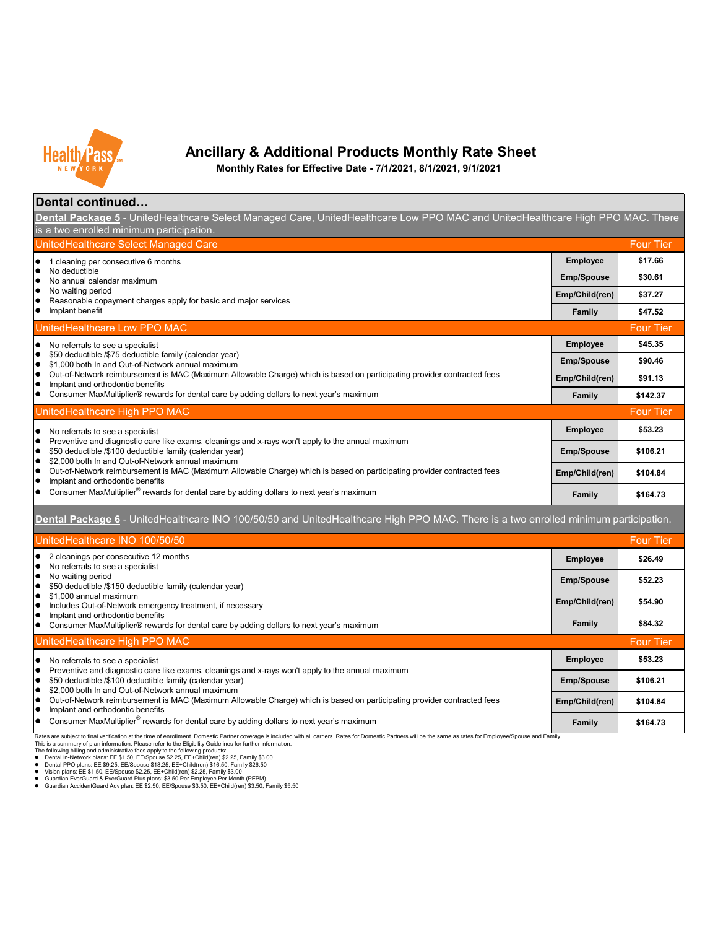#### This is a summary of plan information. Please refer to the Eligibility Guidelines for further information. The following billing and administrative fees apply to the following products:

- Dental In-Network plans: EE \$1.50, EE/Spouse \$2.25, EE+Child(ren) \$2.25, Family \$3.00
- Dental PPO plans: EE \$9.25, EE/Spouse \$18.25, EE+Child(ren) \$16.50, Family \$26.50
- Vision plans: EE \$1.50, EE/Spouse \$2.25, EE+Child(ren) \$2.25, Family \$3.00
- Guardian EverGuard & EverGuard Plus plans: \$3.50 Per Employee Per Month (PEPM)
- Guardian AccidentGuard Adv plan: EE \$2.50, EE/Spouse \$3.50, EE+Child(ren) \$3.50, Family \$5.50



#### **Ancillary & Additional Products Monthly Rate Sheet**

**Monthly Rates for Effective Date - 7/1/2021, 8/1/2021, 9/1/2021**

| Dental continued                                                                                                                                                                  |
|-----------------------------------------------------------------------------------------------------------------------------------------------------------------------------------|
| <b>Dental Package 5</b> - UnitedHealthcare Select Managed Care, UnitedHealthcare Low PPO MAC and UnitedHealthcare High PPO MAC. There<br>is a two enrolled minimum participation. |
|                                                                                                                                                                                   |

| UnitedHealthcare Select Managed Care                                                                                                                                                                                       |                   | <b>Four Tier</b> |
|----------------------------------------------------------------------------------------------------------------------------------------------------------------------------------------------------------------------------|-------------------|------------------|
| cleaning per consecutive 6 months                                                                                                                                                                                          | <b>Employee</b>   | \$17.66          |
| No deductible<br>No annual calendar maximum                                                                                                                                                                                | <b>Emp/Spouse</b> | \$30.61          |
| No waiting period<br>Reasonable copayment charges apply for basic and major services                                                                                                                                       | Emp/Child(ren)    | \$37.27          |
| Implant benefit                                                                                                                                                                                                            | <b>Family</b>     | \$47.52          |
| UnitedHealthcare Low PPO MAC                                                                                                                                                                                               |                   | <b>Four Tier</b> |
| No referrals to see a specialist<br>$\bullet$                                                                                                                                                                              | <b>Employee</b>   | \$45.35          |
| \$50 deductible /\$75 deductible family (calendar year)<br>$\bullet$<br>\$1,000 both In and Out-of-Network annual maximum<br>$\bullet$                                                                                     | <b>Emp/Spouse</b> | \$90.46          |
| Out-of-Network reimbursement is MAC (Maximum Allowable Charge) which is based on participating provider contracted fees<br>O<br>Implant and orthodontic benefits                                                           | Emp/Child(ren)    | \$91.13          |
| Consumer MaxMultiplier® rewards for dental care by adding dollars to next year's maximum                                                                                                                                   | <b>Family</b>     | \$142.37         |
| UnitedHealthcare High PPO MAC                                                                                                                                                                                              |                   | <b>Four Tier</b> |
| No referrals to see a specialist                                                                                                                                                                                           | <b>Employee</b>   | \$53.23          |
| Preventive and diagnostic care like exams, cleanings and x-rays won't apply to the annual maximum<br>\$50 deductible /\$100 deductible family (calendar year)<br>\$2,000 both In and Out-of-Network annual maximum         | <b>Emp/Spouse</b> | \$106.21         |
| Out-of-Network reimbursement is MAC (Maximum Allowable Charge) which is based on participating provider contracted fees<br>Implant and orthodontic benefits                                                                | Emp/Child(ren)    | \$104.84         |
| Consumer MaxMultiplier <sup>®</sup> rewards for dental care by adding dollars to next year's maximum                                                                                                                       | <b>Family</b>     | \$164.73         |
| <b>Dental Package 6</b> - UnitedHealthcare INO 100/50/50 and UnitedHealthcare High PPO MAC. There is a two enrolled minimum participation.                                                                                 |                   |                  |
| UnitedHealthcare INO 100/50/50                                                                                                                                                                                             |                   | <b>Four Tier</b> |
| 2 cleanings per consecutive 12 months<br>No referrals to see a specialist                                                                                                                                                  | <b>Employee</b>   | \$26.49          |
|                                                                                                                                                                                                                            |                   |                  |
| No waiting period                                                                                                                                                                                                          | <b>Emp/Spouse</b> | \$52.23          |
| \$50 deductible /\$150 deductible family (calendar year)<br>\$1,000 annual maximum<br>Includes Out-of-Network emergency treatment, if necessary                                                                            | Emp/Child(ren)    | \$54.90          |
| Implant and orthodontic benefits<br>Consumer MaxMultiplier® rewards for dental care by adding dollars to next year's maximum                                                                                               | <b>Family</b>     | \$84.32          |
| UnitedHealthcare High PPO MAC                                                                                                                                                                                              |                   | <b>Four Tier</b> |
| No referrals to see a specialist<br>$\bullet$                                                                                                                                                                              | <b>Employee</b>   | \$53.23          |
| Preventive and diagnostic care like exams, cleanings and x-rays won't apply to the annual maximum<br>\$50 deductible /\$100 deductible family (calendar year)<br>$\bullet$                                                 | <b>Emp/Spouse</b> | \$106.21         |
| \$2,000 both In and Out-of-Network annual maximum<br>O<br>Out-of-Network reimbursement is MAC (Maximum Allowable Charge) which is based on participating provider contracted fees<br>O<br>Implant and orthodontic benefits | Emp/Child(ren)    | \$104.84         |

Rates are subject to final verification at the time of enrollment. Domestic Partner coverage is included with all carriers. Rates for Domestic Partners will be the same as rates for Employee/Spouse and Family.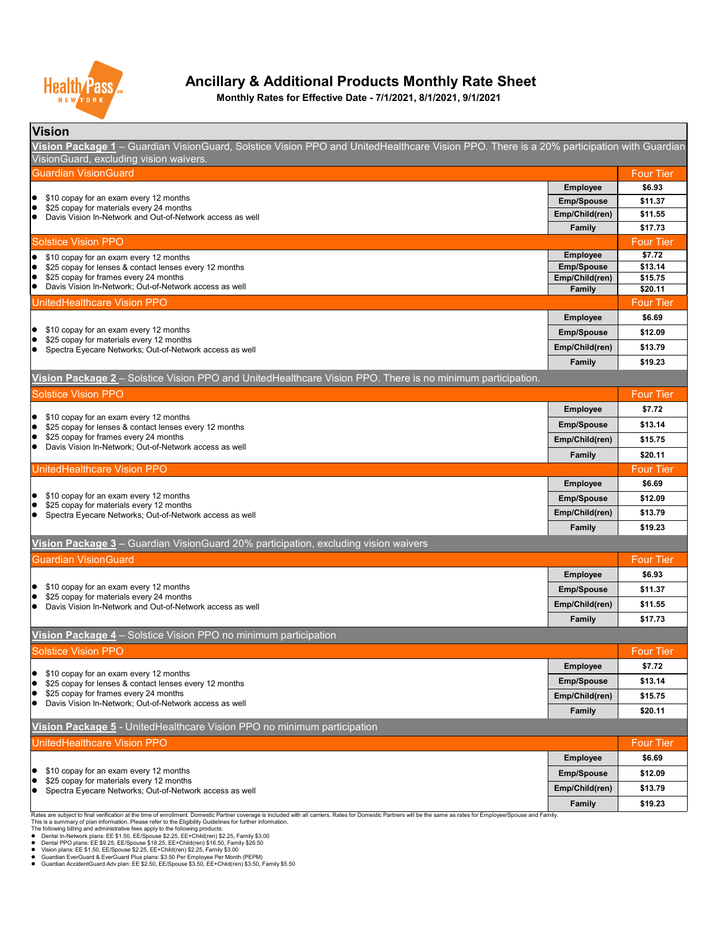| <b>Vision</b>                                                                                                                            |                   |                  |
|------------------------------------------------------------------------------------------------------------------------------------------|-------------------|------------------|
| Vision Package 1 – Guardian VisionGuard, Solstice Vision PPO and UnitedHealthcare Vision PPO. There is a 20% participation with Guardian |                   |                  |
| VisionGuard, excluding vision waivers.                                                                                                   |                   |                  |
| Guardian VisionGuard                                                                                                                     |                   | <b>Four Tier</b> |
|                                                                                                                                          | <b>Employee</b>   | \$6.93           |
| \$10 copay for an exam every 12 months<br>$\overline{\bullet}$<br>$\bullet$                                                              | <b>Emp/Spouse</b> | \$11.37          |
| \$25 copay for materials every 24 months<br>Davis Vision In-Network and Out-of-Network access as well                                    | Emp/Child(ren)    | \$11.55          |
|                                                                                                                                          | <b>Family</b>     | \$17.73          |
| <b>Solstice Vision PPO</b>                                                                                                               |                   | <b>Four Tier</b> |
| \$10 copay for an exam every 12 months<br>$\bullet$                                                                                      | <b>Employee</b>   | \$7.72           |
| \$25 copay for lenses & contact lenses every 12 months<br>$\bullet$                                                                      | <b>Emp/Spouse</b> | \$13.14          |
| \$25 copay for frames every 24 months<br>$\bullet$                                                                                       | Emp/Child(ren)    | \$15.75          |
| Davis Vision In-Network; Out-of-Network access as well<br>$\bullet$                                                                      | <b>Family</b>     | \$20.11          |
| <b>UnitedHealthcare Vision PPO</b>                                                                                                       |                   | <b>Four Tier</b> |
|                                                                                                                                          | <b>Employee</b>   | \$6.69           |
| \$10 copay for an exam every 12 months<br>$\bullet$<br>$\bullet$                                                                         | <b>Emp/Spouse</b> | \$12.09          |
| \$25 copay for materials every 12 months<br>Spectra Eyecare Networks; Out-of-Network access as well                                      | Emp/Child(ren)    | \$13.79          |
|                                                                                                                                          | Family            | \$19.23          |

This is a summary of plan information. Please refer to the Eligibility Guidelines for further information.

The following billing and administrative fees apply to the following products:

- Dental In-Network plans: EE \$1.50, EE/Spouse \$2.25, EE+Child(ren) \$2.25, Family \$3.00
- Dental PPO plans: EE \$9.25, EE/Spouse \$18.25, EE+Child(ren) \$16.50, Family \$26.50
- Vision plans: EE \$1.50, EE/Spouse \$2.25, EE+Child(ren) \$2.25, Family \$3.00
- Guardian EverGuard & EverGuard Plus plans: \$3.50 Per Employee Per Month (PEPM)
- Guardian AccidentGuard Adv plan: EE \$2.50, EE/Spouse \$3.50, EE+Child(ren) \$3.50, Family \$5.50

| UnitedHealthcare Vision PPO                                                        |                   | <b>Four Tier</b> |
|------------------------------------------------------------------------------------|-------------------|------------------|
|                                                                                    | <b>Employee</b>   | \$6.69           |
| \$10 copay for an exam every 12 months<br>\$25 copay for materials every 12 months | <b>Emp/Spouse</b> | \$12.09          |
| Spectra Eyecare Networks; Out-of-Network access as well                            | Emp/Child(ren)    | \$13.79          |
|                                                                                    | <b>Family</b>     | \$19.23          |

Rates are subject to final verification at the time of enrollment. Domestic Partner coverage is included with all carriers. Rates for Domestic Partners will be the same as rates for Employee/Spouse and Family.

| <b>Solstice Vision PPO</b>                                                                            |                   | <b>Four Tier</b> |
|-------------------------------------------------------------------------------------------------------|-------------------|------------------|
|                                                                                                       | <b>Employee</b>   | \$7.72           |
| \$10 copay for an exam every 12 months<br>\$25 copay for lenses & contact lenses every 12 months      | <b>Emp/Spouse</b> | \$13.14          |
| \$25 copay for frames every 24 months                                                                 | Emp/Child(ren)    | \$15.75          |
| Davis Vision In-Network; Out-of-Network access as well                                                | <b>Family</b>     | \$20.11          |
| <b>UnitedHealthcare Vision PPO</b>                                                                    |                   | <b>Four Tier</b> |
|                                                                                                       | <b>Employee</b>   | \$6.69           |
| \$10 copay for an exam every 12 months                                                                | <b>Emp/Spouse</b> | \$12.09          |
| \$25 copay for materials every 12 months<br>Spectra Eyecare Networks; Out-of-Network access as well   | Emp/Child(ren)    | \$13.79          |
|                                                                                                       | <b>Family</b>     | \$19.23          |
| Vision Package 3 - Guardian VisionGuard 20% participation, excluding vision waivers                   |                   |                  |
| <b>Guardian VisionGuard</b>                                                                           |                   | <b>Four Tier</b> |
|                                                                                                       | <b>Employee</b>   | \$6.93           |
| \$10 copay for an exam every 12 months                                                                | <b>Emp/Spouse</b> | \$11.37          |
| \$25 copay for materials every 24 months<br>Davis Vision In-Network and Out-of-Network access as well | Emp/Child(ren)    | \$11.55          |
|                                                                                                       | <b>Family</b>     | \$17.73          |
| Vision Package 4 – Solstice Vision PPO no minimum participation                                       |                   |                  |
| <b>Solstice Vision PPO</b>                                                                            |                   | <b>Four Tier</b> |
|                                                                                                       | <b>Employee</b>   | \$7.72           |
| \$10 copay for an exam every 12 months<br>\$25 copay for lenses & contact lenses every 12 months      | <b>Emp/Spouse</b> | \$13.14          |
| \$25 copay for frames every 24 months                                                                 | Emp/Child(ren)    | \$15.75          |
| Davis Vision In-Network; Out-of-Network access as well                                                | <b>Family</b>     | \$20.11          |
| Vision Package 5 - UnitedHealthcare Vision PPO no minimum participation                               |                   |                  |



## **Ancillary & Additional Products Monthly Rate Sheet**

**Vision Package 2** – Solstice Vision PPO and UnitedHealthcare Vision PPO. There is no minimum participation.

**Monthly Rates for Effective Date - 7/1/2021, 8/1/2021, 9/1/2021**